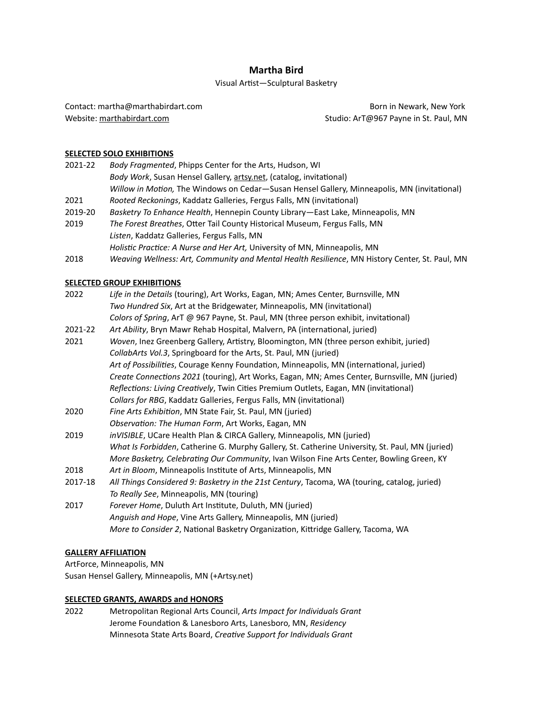# **Martha Bird**

# Visual Artist—Sculptural Basketry

Contact: [martha@marthabirdart.com](mailto:martha@marthabirdart.com) **Born in Newark, New York** Born in Newark, New York Website: [marthabirdart.com](http://marthabirdart.com) Studio: Art@967 Payne in St. Paul, MN

## **SELECTED SOLO EXHIBITIONS**

| 2021-22 | Body Fragmented, Phipps Center for the Arts, Hudson, WI                                        |
|---------|------------------------------------------------------------------------------------------------|
|         | Body Work, Susan Hensel Gallery, artsy.net, (catalog, invitational)                            |
|         | Willow in Motion, The Windows on Cedar–Susan Hensel Gallery, Minneapolis, MN (invitational)    |
| 2021    | Rooted Reckonings, Kaddatz Galleries, Fergus Falls, MN (invitational)                          |
| 2019-20 | Basketry To Enhance Health, Hennepin County Library-East Lake, Minneapolis, MN                 |
| 2019    | The Forest Breathes, Otter Tail County Historical Museum, Fergus Falls, MN                     |
|         | Listen, Kaddatz Galleries, Fergus Falls, MN                                                    |
|         | Holistic Practice: A Nurse and Her Art, University of MN, Minneapolis, MN                      |
| 2018    | Weaving Wellness: Art, Community and Mental Health Resilience, MN History Center, St. Paul, MN |
|         |                                                                                                |
|         |                                                                                                |

# **SELECTED GROUP EXHIBITIONS**

| 2022    | Life in the Details (touring), Art Works, Eagan, MN; Ames Center, Burnsville, MN                |
|---------|-------------------------------------------------------------------------------------------------|
|         | Two Hundred Six, Art at the Bridgewater, Minneapolis, MN (invitational)                         |
|         | Colors of Spring, ArT @ 967 Payne, St. Paul, MN (three person exhibit, invitational)            |
| 2021-22 | Art Ability, Bryn Mawr Rehab Hospital, Malvern, PA (international, juried)                      |
| 2021    | Woven, Inez Greenberg Gallery, Artistry, Bloomington, MN (three person exhibit, juried)         |
|         | CollabArts Vol.3, Springboard for the Arts, St. Paul, MN (juried)                               |
|         | Art of Possibilities, Courage Kenny Foundation, Minneapolis, MN (international, juried)         |
|         | Create Connections 2021 (touring), Art Works, Eagan, MN; Ames Center, Burnsville, MN (juried)   |
|         | Reflections: Living Creatively, Twin Cities Premium Outlets, Eagan, MN (invitational)           |
|         | Collars for RBG, Kaddatz Galleries, Fergus Falls, MN (invitational)                             |
| 2020    | Fine Arts Exhibition, MN State Fair, St. Paul, MN (juried)                                      |
|         | Observation: The Human Form, Art Works, Eagan, MN                                               |
| 2019    | inVISIBLE, UCare Health Plan & CIRCA Gallery, Minneapolis, MN (juried)                          |
|         | What Is Forbidden, Catherine G. Murphy Gallery, St. Catherine University, St. Paul, MN (juried) |
|         | More Basketry, Celebrating Our Community, Ivan Wilson Fine Arts Center, Bowling Green, KY       |
| 2018    | Art in Bloom, Minneapolis Institute of Arts, Minneapolis, MN                                    |
| 2017-18 | All Things Considered 9: Basketry in the 21st Century, Tacoma, WA (touring, catalog, juried)    |
|         | To Really See, Minneapolis, MN (touring)                                                        |
| 2017    | Forever Home, Duluth Art Institute, Duluth, MN (juried)                                         |
|         | Anguish and Hope, Vine Arts Gallery, Minneapolis, MN (juried)                                   |
|         | More to Consider 2, National Basketry Organization, Kittridge Gallery, Tacoma, WA               |

### **GALLERY AFFILIATION**

ArtForce, Minneapolis, MN Susan Hensel Gallery, Minneapolis, MN (+Artsy.net)

### **SELECTED GRANTS, AWARDS and HONORS**

2022 Metropolitan Regional Arts Council, *Arts Impact for Individuals Grant* Jerome Foundation & Lanesboro Arts, Lanesboro, MN, *Residency* Minnesota State Arts Board, *Creative Support for Individuals Grant*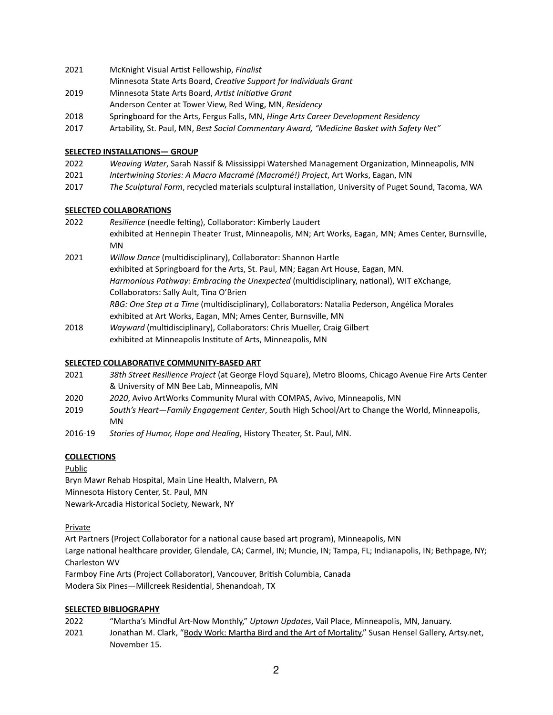- 2021 McKnight Visual Artist Fellowship, *Finalist*
- Minnesota State Arts Board, *Creative Support for Individuals Grant*
- 2019 Minnesota State Arts Board, *Artist Initiative Grant*
- Anderson Center at Tower View, Red Wing, MN, *Residency*
- 2018 Springboard for the Arts, Fergus Falls, MN, *Hinge Arts Career Development Residency*
- 2017 Artability, St. Paul, MN, *Best Social Commentary Award, "Medicine Basket with Safety Net"*

# **SELECTED INSTALLATIONS— GROUP**

- 2022 *Weaving Water*, Sarah Nassif & Mississippi Watershed Management Organization, Minneapolis, MN
- 2021 *Intertwining Stories: A Macro Macramé (Macromé!) Project*, Art Works, Eagan, MN
- 2017 *The Sculptural Form*, recycled materials sculptural installation, University of Puget Sound, Tacoma, WA

# **SELECTED COLLABORATIONS**

- 2022 *Resilience* (needle felting), Collaborator: Kimberly Laudert exhibited at Hennepin Theater Trust, Minneapolis, MN; Art Works, Eagan, MN; Ames Center, Burnsville, MN 2021 *Willow Dance* (multidisciplinary), Collaborator: Shannon Hartle exhibited at Springboard for the Arts, St. Paul, MN; Eagan Art House, Eagan, MN.
	- *Harmonious Pathway: Embracing the Unexpected* (multidisciplinary, national), WIT eXchange, Collaborators: Sally Ault, Tina O'Brien
		- *RBG: One Step at a Time* (multidisciplinary), Collaborators: Natalia Pederson, Angélica Morales exhibited at Art Works, Eagan, MN; Ames Center, Burnsville, MN
- 2018 *Wayward* (multidisciplinary), Collaborators: Chris Mueller, Craig Gilbert exhibited at Minneapolis Institute of Arts, Minneapolis, MN

# **SELECTED COLLABORATIVE COMMUNITY-BASED ART**

- 2021 *38th Street Resilience Project* (at George Floyd Square), Metro Blooms, Chicago Avenue Fire Arts Center & University of MN Bee Lab, Minneapolis, MN
- 2020 *2020*, Avivo ArtWorks Community Mural with COMPAS, Avivo, Minneapolis, MN
- 2019 *South's Heart—Family Engagement Center*, South High School/Art to Change the World, Minneapolis, MN
- 2016-19 *Stories of Humor, Hope and Healing*, History Theater, St. Paul, MN.

# **COLLECTIONS**

Public

Bryn Mawr Rehab Hospital, Main Line Health, Malvern, PA Minnesota History Center, St. Paul, MN Newark-Arcadia Historical Society, Newark, NY

Private

Art Partners (Project Collaborator for a national cause based art program), Minneapolis, MN Large national healthcare provider, Glendale, CA; Carmel, IN; Muncie, IN; Tampa, FL; Indianapolis, IN; Bethpage, NY; Charleston WV Farmboy Fine Arts (Project Collaborator), Vancouver, British Columbia, Canada

Modera Six Pines—Millcreek Residential, Shenandoah, TX

### **SELECTED BIBLIOGRAPHY**

| 2022 | "Martha's Mindful Art-Now Monthly," Uptown Updates, Vail Place, Minneapolis, MN, January.              |
|------|--------------------------------------------------------------------------------------------------------|
| 2021 | Jonathan M. Clark, "Body Work: Martha Bird and the Art of Mortality," Susan Hensel Gallery, Artsy.net, |
|      | November 15.                                                                                           |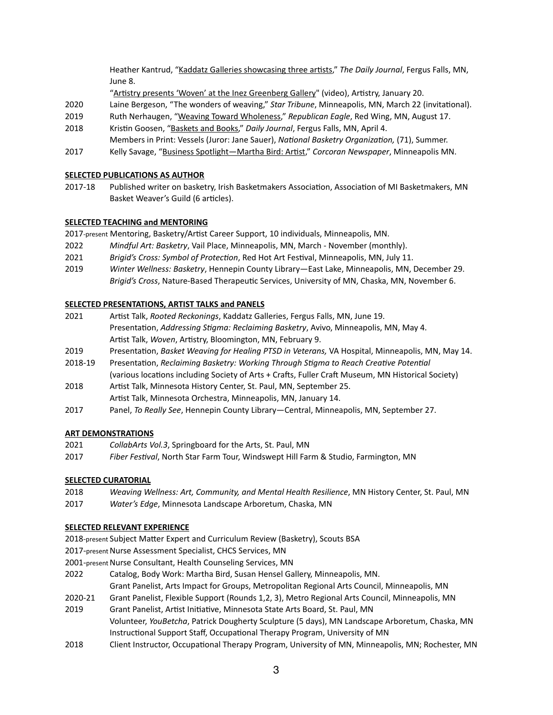Heather Kantrud, "[Kaddatz Galleries showcasing three artists](https://news.yahoo.com/kaddatz-galleries-showcasing-three-artists-195300987.html)," *The Daily Journal*, Fergus Falls, MN, June 8.

"[Artistry presents 'Woven' at the Inez Greenberg Gallery"](https://artistrymn.org/past-exhibitions) (video), Artistry, January 20.

- 2020 Laine Bergeson, "The wonders of weaving," *Star Tribune*, Minneapolis, MN, March 22 (invitational).
- 2019 Ruth Nerhaugen, ["Weaving Toward Wholeness,](https://www.republicaneagle.com/things_to_do/art/weaving-toward-wholeness-in-red-wing/article_3f25e0c8-bc98-11eb-83e4-7b7bd67b392e.html)" *Republican Eagle*, Red Wing, MN, August 17.
- 2018 Kristin Goosen, ["Baskets and Books,](https://www.fergusfallsjournal.com/lifestyle/baskets-and-books-two-hinge-artists-at-the-kirkbride-residents-bring-their-talents-to-fergus/article_f4f9752f-6a6b-5cd9-83e9-8f4532be7c31.html)" *Daily Journal*, Fergus Falls, MN, April 4.
- Members in Print: Vessels (Juror: Jane Sauer), *National Basketry Organization,* (71), Summer. 2017 Kelly Savage, "[Business Spotlight—Martha Bird: Artist](http://www.corcoranneighborhood.org/business_spotlight_martha_bird_artist)," *Corcoran Newspaper*, Minneapolis MN.

### **SELECTED PUBLICATIONS AS AUTHOR**

2017-18 Published writer on basketry, Irish Basketmakers Association, Association of MI Basketmakers, MN Basket Weaver's Guild (6 articles).

### **SELECTED TEACHING and MENTORING**

2017-present Mentoring, Basketry/Artist Career Support, 10 individuals, Minneapolis, MN.

- 2022 *Mindful Art: Basketry*, Vail Place, Minneapolis, MN, March November (monthly).
- 2021 *Brigid's Cross: Symbol of Protection*, Red Hot Art Festival, Minneapolis, MN, July 11.
- 2019 *Winter Wellness: Basketry*, Hennepin County Library—East Lake, Minneapolis, MN, December 29. *Brigid's Cross*, Nature-Based Therapeutic Services, University of MN, Chaska, MN, November 6.

### **SELECTED PRESENTATIONS, ARTIST TALKS and PANELS**

- 2021 Artist Talk, *Rooted Reckonings*, Kaddatz Galleries, Fergus Falls, MN, June 19. Presentation, *Addressing Stigma: Reclaiming Basketry*, Avivo, Minneapolis, MN, May 4. Artist Talk, *Woven*, Artistry, Bloomington, MN, February 9.
- 2019 Presentation, *Basket Weaving for Healing PTSD in Veterans,* VA Hospital, Minneapolis, MN, May 14.
- 2018-19 Presentation, *Reclaiming Basketry: Working Through Stigma to Reach Creative Potential*  (various locations including Society of Arts + Crafts, Fuller Craft Museum, MN Historical Society)
- 2018 Artist Talk, Minnesota History Center, St. Paul, MN, September 25. Artist Talk, Minnesota Orchestra, Minneapolis, MN, January 14.
- 2017 Panel, *To Really See*, Hennepin County Library—Central, Minneapolis, MN, September 27.

### **ART DEMONSTRATIONS**

- 2021 *CollabArts Vol.3*, Springboard for the Arts, St. Paul, MN
- 2017 *Fiber Festival*, North Star Farm Tour, Windswept Hill Farm & Studio, Farmington, MN

### **SELECTED CURATORIAL**

- 2018 *Weaving Wellness: Art, Community, and Mental Health Resilience*, MN History Center, St. Paul, MN
- 2017 *Water's Edge*, Minnesota Landscape Arboretum, Chaska, MN

### **SELECTED RELEVANT EXPERIENCE**

- 2018-present Subject Matter Expert and Curriculum Review (Basketry), Scouts BSA
- 2017-present Nurse Assessment Specialist, CHCS Services, MN
- 2001-present Nurse Consultant, Health Counseling Services, MN
- 2022 Catalog, Body Work: Martha Bird, Susan Hensel Gallery, Minneapolis, MN.
	- Grant Panelist, Arts Impact for Groups, Metropolitan Regional Arts Council, Minneapolis, MN
- 2020-21 Grant Panelist, Flexible Support (Rounds 1,2, 3), Metro Regional Arts Council, Minneapolis, MN
- 2019 Grant Panelist, Artist Initiative, Minnesota State Arts Board, St. Paul, MN Volunteer, *YouBetcha*, Patrick Dougherty Sculpture (5 days), MN Landscape Arboretum, Chaska, MN Instructional Support Staff, Occupational Therapy Program, University of MN
- 2018 Client Instructor, Occupational Therapy Program, University of MN, Minneapolis, MN; Rochester, MN